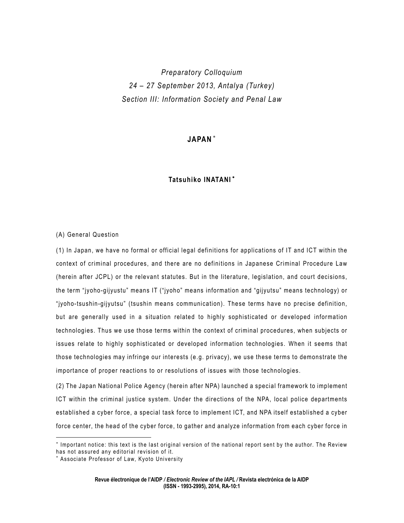*Preparatory Colloquium 24 – 27 September 2013, Antalya (Turkey) Section III: Information Society and Penal Law* 

## **JAPAN** [∗](#page-0-0)

## **Tatsuhiko INATANI** [∗](#page-0-1)

## (A) General Question

(1) In Japan, we have no formal or official legal definitions for applications of IT and ICT within the context of criminal procedures, and there are no definitions in Japanese Criminal Procedure Law (herein after JCPL) or the relevant statutes. But in the literature, legislation, and court decisions, the term "jyoho-gijyustu" means IT ("jyoho" means information and "gijyutsu" means technology) or "jyoho-tsushin-gijyutsu" (tsushin means communication). These terms have no precise definition, but are generally used in a situation related to highly sophisticated or developed information technologies. Thus we use those terms within the context of criminal procedures, when subjects or issues relate to highly sophisticated or developed information technologies. When it seems that those technologies may infringe our interests (e.g. privacy), we use these terms to demonstrate the importance of proper reactions to or resolutions of issues with those technologies.

(2) The Japan National Police Agency (herein after NPA) launched a special framework to implement ICT within the criminal justice system. Under the directions of the NPA, local police departments established a cyber force, a special task force to implement ICT, and NPA itself established a cyber force center, the head of the cyber force, to gather and analyze information from each cyber force in

 $\overline{a}$ 

<span id="page-0-0"></span><sup>∗</sup> Important notice: this text is the last original version of the national report sent by the author. The Review has not assured any editorial revision of it.

<span id="page-0-1"></span><sup>∗</sup> Associate Professor of Law, Kyoto University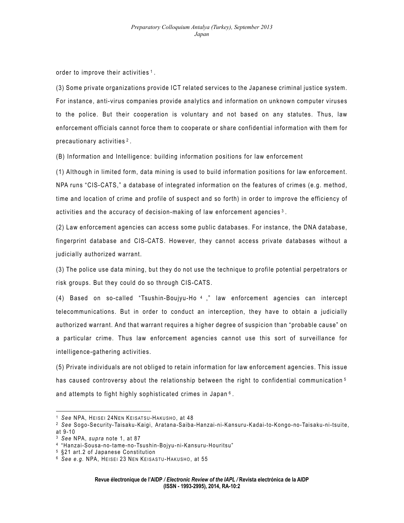order to improve their activities [1](#page-1-0) .

(3) Some private organizations provide ICT related services to the Japanese criminal justice system. For instance, anti-virus companies provide analytics and information on unknown computer viruses to the police. But their cooperation is voluntary and not based on any statutes. Thus, law enforcement officials cannot force them to cooperate or share confidential information with them for precautionary activities [2](#page-1-1) .

(B) Information and Intelligence: building information positions for law enforcement

(1) Although in limited form, data mining is used to build information positions for law enforcement. NPA runs "CIS-CATS," a database of integrated information on the features of crimes (e.g. method, time and location of crime and profile of suspect and so forth) in order to improve the efficiency of activities and the accuracy of decision-making of law enforcement agencies [3](#page-1-2) .

(2) Law enforcement agencies can access some public databases. For instance, the DNA database, fingerprint database and CIS-CATS. However, they cannot access private databases without a judicially authorized warrant.

(3) The police use data mining, but they do not use the technique to profile potential perpetrators or risk groups. But they could do so through CIS-CATS.

(4) Based on so-called "Tsushin-Boujyu-Ho 4 ," law enforcement agencies can intercept telecommunications. But in order to conduct an interception, they have to obtain a judicially authorized warrant. And that warrant requires a higher degree of suspicion than "probable cause" on a particular crime. Thus law enforcement agencies cannot use this sort of surveillance for intelligence-gathering activities.

(5) Private individuals are not obliged to retain information for law enforcement agencies. This issue has caused controversy about the relationship between the right to confidential communication [5](#page-1-3) and attempts to fight highly sophisticated crimes in Japan [6](#page-1-4) .

1

<span id="page-1-1"></span><span id="page-1-0"></span><sup>&</sup>lt;sup>1</sup> See NPA, HEISEI 24NEN KEISATSU-HAKUSHO, <mark>at 48</mark><br><sup>2</sup> See Sogo-Security-Taisaku-Kaigi, Aratana-Saiba-Hanzai-ni-Kansuru-Kadai-to-Kongo-no-Taisaku-ni-tsuite, at 9-10

<span id="page-1-2"></span>

<sup>&</sup>lt;sup>3</sup> See NPA, *supra* note 1, at 87<br><sup>4</sup> "Hanzai-Sousa-no-tame-no-Tsushin-Bojyu-ni-Kansuru-Houritsu"

<sup>&</sup>lt;sup>5</sup> §21 art.2 of Japanese Constitution

<span id="page-1-4"></span><span id="page-1-3"></span><sup>6</sup> *See e.g.* NPA, HEISEI 23 NEN KEISASTU-HAKUSHO, at 55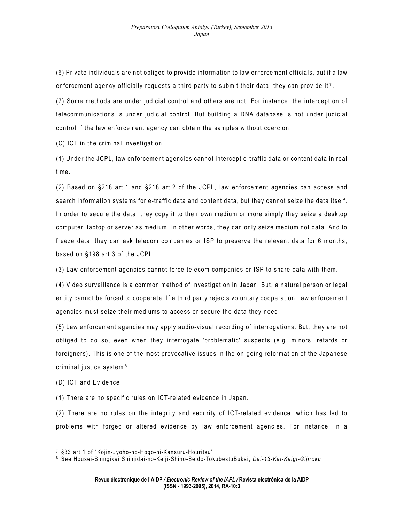(6) Private individuals are not obliged to provide information to law enforcement officials, but if a law enforcement agency officially requests a third party to submit their data, they can provide it<sup>[7](#page-2-0)</sup>.

(7) Some methods are under judicial control and others are not. For instance, the interception of telecommunications is under judicial control. But building a DNA database is not under judicial control if the law enforcement agency can obtain the samples without coercion.

(C) ICT in the criminal investigation

(1) Under the JCPL, law enforcement agencies cannot intercept e-traffic data or content data in real time.

(2) Based on §218 art.1 and §218 art.2 of the JCPL, law enforcement agencies can access and search information systems for e-traffic data and content data, but they cannot seize the data itself. In order to secure the data, they copy it to their own medium or more simply they seize a desktop computer, laptop or server as medium. In other words, they can only seize medium not data. And to freeze data, they can ask telecom companies or ISP to preserve the relevant data for 6 months, based on §198 art.3 of the JCPL.

(3) Law enforcement agencies cannot force telecom companies or ISP to share data with them.

(4) Video surveillance is a common method of investigation in Japan. But, a natural person or legal entity cannot be forced to cooperate. If a third party rejects voluntary cooperation, law enforcement agencies must seize their mediums to access or secure the data they need.

(5) Law enforcement agencies may apply audio-visual recording of interrogations. But, they are not obliged to do so, even when they interrogate 'problematic' suspects (e.g. minors, retards or foreigners). This is one of the most provocative issues in the on-going reformation of the Japanese criminal justice system [8](#page-2-1) .

(D) ICT and Evidence

1

(1) There are no specific rules on ICT-related evidence in Japan.

(2) There are no rules on the integrity and security of ICT-related evidence, which has led to problems with forged or altered evidence by law enforcement agencies. For instance, in a

<span id="page-2-0"></span><sup>7 §33</sup> art.1 of "Kojin-Jyoho-no-Hogo-ni-Kansuru-Houritsu"

<span id="page-2-1"></span><sup>8</sup> See Housei-Shingikai Shinjidai-no-Keiji-Shiho-Seido-TokubestuBukai, *Dai-13-Kai-Kaigi-Gijiroku*